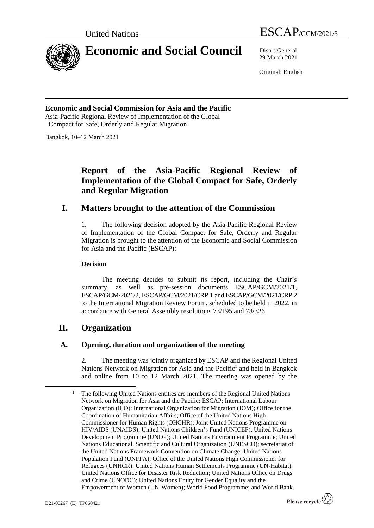

# **Economic and Social Council** Distr.: General

United Nations ESCAP/GCM/2021/3

29 March 2021

Original: English

**Economic and Social Commission for Asia and the Pacific** Asia-Pacific Regional Review of Implementation of the Global Compact for Safe, Orderly and Regular Migration

Bangkok, 10–12 March 2021

# **Report of the Asia-Pacific Regional Review of Implementation of the Global Compact for Safe, Orderly and Regular Migration**

# **I. Matters brought to the attention of the Commission**

1. The following decision adopted by the Asia-Pacific Regional Review of Implementation of the Global Compact for Safe, Orderly and Regular Migration is brought to the attention of the Economic and Social Commission for Asia and the Pacific (ESCAP):

#### **Decision**

The meeting decides to submit its report, including the Chair's summary, as well as pre-session documents ESCAP/GCM/2021/1, ESCAP/GCM/2021/2, ESCAP/GCM/2021/CRP.1 and ESCAP/GCM/2021/CRP.2 to the International Migration Review Forum, scheduled to be held in 2022, in accordance with General Assembly resolutions 73/195 and 73/326.

# **II. Organization**

## **A. Opening, duration and organization of the meeting**

2. The meeting was jointly organized by ESCAP and the Regional United Nations Network on Migration for Asia and the Pacific<sup>1</sup> and held in Bangkok and online from 10 to 12 March 2021. The meeting was opened by the

<sup>1</sup> The following United Nations entities are members of the Regional United Nations Network on Migration for Asia and the Pacific: ESCAP; International Labour Organization (ILO); International Organization for Migration (IOM); Office for the Coordination of Humanitarian Affairs; Office of the United Nations High Commissioner for Human Rights (OHCHR); Joint United Nations Programme on HIV/AIDS (UNAIDS); United Nations Children's Fund (UNICEF); United Nations Development Programme (UNDP); United Nations Environment Programme; United Nations Educational, Scientific and Cultural Organization (UNESCO); secretariat of the United Nations Framework Convention on Climate Change; United Nations Population Fund (UNFPA); Office of the United Nations High Commissioner for Refugees (UNHCR); United Nations Human Settlements Programme (UN-Habitat); United Nations Office for Disaster Risk Reduction; United Nations Office on Drugs and Crime (UNODC); United Nations Entity for Gender Equality and the Empowerment of Women (UN-Women); World Food Programme; and World Bank.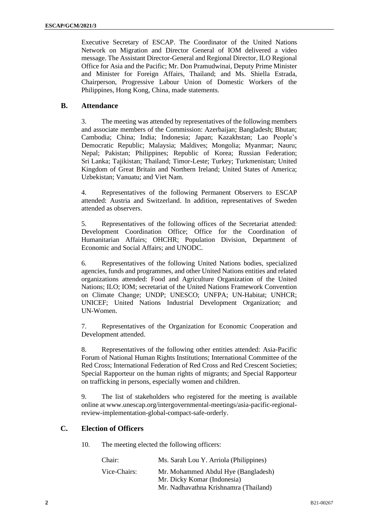Executive Secretary of ESCAP. The Coordinator of the United Nations Network on Migration and Director General of IOM delivered a video message. The Assistant Director-General and Regional Director, ILO Regional Office for Asia and the Pacific; Mr. Don Pramudwinai, Deputy Prime Minister and Minister for Foreign Affairs, Thailand; and Ms. Shiella Estrada, Chairperson, Progressive Labour Union of Domestic Workers of the Philippines, Hong Kong, China, made statements.

### **B. Attendance**

3. The meeting was attended by representatives of the following members and associate members of the Commission: Azerbaijan; Bangladesh; Bhutan; Cambodia; China; India; Indonesia; Japan; Kazakhstan; Lao People's Democratic Republic; Malaysia; Maldives; Mongolia; Myanmar; Nauru; Nepal; Pakistan; Philippines; Republic of Korea; Russian Federation; Sri Lanka; Tajikistan; Thailand; Timor-Leste; Turkey; Turkmenistan; United Kingdom of Great Britain and Northern Ireland; United States of America; Uzbekistan; Vanuatu; and Viet Nam.

4. Representatives of the following Permanent Observers to ESCAP attended: Austria and Switzerland. In addition, representatives of Sweden attended as observers.

5. Representatives of the following offices of the Secretariat attended: Development Coordination Office; Office for the Coordination of Humanitarian Affairs; OHCHR; Population Division, Department of Economic and Social Affairs; and UNODC.

6. Representatives of the following United Nations bodies, specialized agencies, funds and programmes, and other United Nations entities and related organizations attended: Food and Agriculture Organization of the United Nations; ILO; IOM; secretariat of the United Nations Framework Convention on Climate Change; UNDP; UNESCO; UNFPA; UN-Habitat; UNHCR; UNICEF; United Nations Industrial Development Organization; and UN-Women.

7. Representatives of the Organization for Economic Cooperation and Development attended.

8. Representatives of the following other entities attended: Asia-Pacific Forum of National Human Rights Institutions; International Committee of the Red Cross; International Federation of Red Cross and Red Crescent Societies; Special Rapporteur on the human rights of migrants; and Special Rapporteur on trafficking in persons, especially women and children.

9. The list of stakeholders who registered for the meeting is available online a[t www.unescap.org/intergovernmental-meetings/asia-pacific-regional](http://www.unescap.org/intergovernmental-meetings/asia-pacific-regional-review-implementation-global-compact-safe-orderly)[review-implementation-global-compact-safe-orderly.](http://www.unescap.org/intergovernmental-meetings/asia-pacific-regional-review-implementation-global-compact-safe-orderly)

## **C. Election of Officers**

10. The meeting elected the following officers:

| Chair:       | Ms. Sarah Lou Y. Arriola (Philippines)                                                                      |
|--------------|-------------------------------------------------------------------------------------------------------------|
| Vice-Chairs: | Mr. Mohammed Abdul Hye (Bangladesh)<br>Mr. Dicky Komar (Indonesia)<br>Mr. Nadhavathna Krishnamra (Thailand) |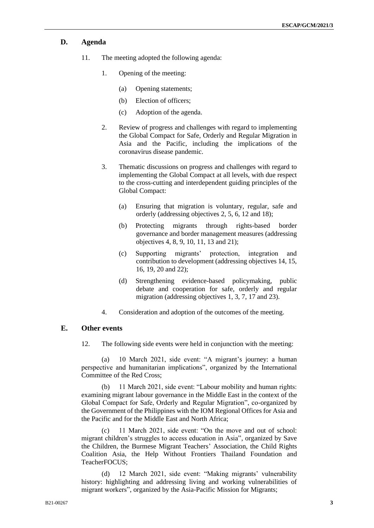#### **D. Agenda**

- 11. The meeting adopted the following agenda:
	- 1. Opening of the meeting:
		- (a) Opening statements;
		- (b) Election of officers;
		- (c) Adoption of the agenda.
	- 2. Review of progress and challenges with regard to implementing the Global Compact for Safe, Orderly and Regular Migration in Asia and the Pacific, including the implications of the coronavirus disease pandemic.
	- 3. Thematic discussions on progress and challenges with regard to implementing the Global Compact at all levels, with due respect to the cross-cutting and interdependent guiding principles of the Global Compact:
		- (a) Ensuring that migration is voluntary, regular, safe and orderly (addressing objectives 2, 5, 6, 12 and 18);
		- (b) Protecting migrants through rights-based border governance and border management measures (addressing objectives 4, 8, 9, 10, 11, 13 and 21);
		- (c) Supporting migrants' protection, integration and contribution to development (addressing objectives 14, 15, 16, 19, 20 and 22);
		- (d) Strengthening evidence-based policymaking, public debate and cooperation for safe, orderly and regular migration (addressing objectives 1, 3, 7, 17 and 23).
	- 4. Consideration and adoption of the outcomes of the meeting.

### **E. Other events**

12. The following side events were held in conjunction with the meeting:

(a) 10 March 2021, side event: "A migrant's journey: a human perspective and humanitarian implications", organized by the International Committee of the Red Cross;

(b) 11 March 2021, side event: "Labour mobility and human rights: examining migrant labour governance in the Middle East in the context of the Global Compact for Safe, Orderly and Regular Migration", co-organized by the Government of the Philippines with the IOM Regional Offices for Asia and the Pacific and for the Middle East and North Africa;

(c) 11 March 2021, side event: "On the move and out of school: migrant children's struggles to access education in Asia", organized by Save the Children, the Burmese Migrant Teachers' Association, the Child Rights Coalition Asia, the Help Without Frontiers Thailand Foundation and TeacherFOCUS;

(d) 12 March 2021, side event: "Making migrants' vulnerability history: highlighting and addressing living and working vulnerabilities of migrant workers", organized by the Asia-Pacific Mission for Migrants;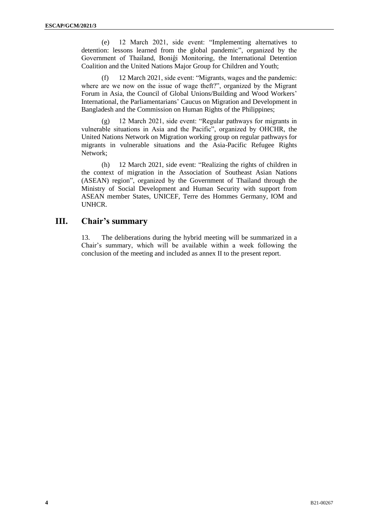(e) 12 March 2021, side event: "Implementing alternatives to detention: lessons learned from the global pandemic", organized by the Government of Thailand, Boniĝi Monitoring, the International Detention Coalition and the United Nations Major Group for Children and Youth;

(f) 12 March 2021, side event: "Migrants, wages and the pandemic: where are we now on the issue of wage theft?", organized by the Migrant Forum in Asia, the Council of Global Unions/Building and Wood Workers' International, the Parliamentarians' Caucus on Migration and Development in Bangladesh and the Commission on Human Rights of the Philippines;

(g) 12 March 2021, side event: "Regular pathways for migrants in vulnerable situations in Asia and the Pacific", organized by OHCHR, the United Nations Network on Migration working group on regular pathways for migrants in vulnerable situations and the Asia-Pacific Refugee Rights Network;

(h) 12 March 2021, side event: "Realizing the rights of children in the context of migration in the Association of Southeast Asian Nations (ASEAN) region", organized by the Government of Thailand through the Ministry of Social Development and Human Security with support from ASEAN member States, UNICEF, Terre des Hommes Germany, IOM and UNHCR.

# **III. Chair's summary**

13. The deliberations during the hybrid meeting will be summarized in a Chair's summary, which will be available within a week following the conclusion of the meeting and included as annex II to the present report.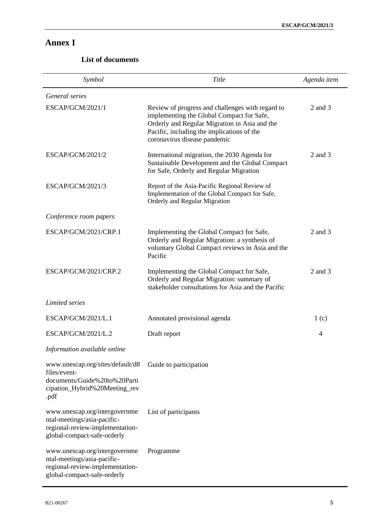# **Annex I**

# **List of documents**

| Symbol                                                                                                                         | Title                                                                                                                                                                                                                        | Agenda item      |
|--------------------------------------------------------------------------------------------------------------------------------|------------------------------------------------------------------------------------------------------------------------------------------------------------------------------------------------------------------------------|------------------|
| General series                                                                                                                 |                                                                                                                                                                                                                              |                  |
| ESCAP/GCM/2021/1                                                                                                               | Review of progress and challenges with regard to<br>implementing the Global Compact for Safe,<br>Orderly and Regular Migration in Asia and the<br>Pacific, including the implications of the<br>coronavirus disease pandemic | 2 and 3          |
| ESCAP/GCM/2021/2                                                                                                               | International migration, the 2030 Agenda for<br>Sustainable Development and the Global Compact<br>for Safe, Orderly and Regular Migration                                                                                    | $2$ and $3$      |
| ESCAP/GCM/2021/3                                                                                                               | Report of the Asia-Pacific Regional Review of<br>Implementation of the Global Compact for Safe,<br>Orderly and Regular Migration                                                                                             |                  |
| Conference room papers                                                                                                         |                                                                                                                                                                                                                              |                  |
| ESCAP/GCM/2021/CRP.1                                                                                                           | Implementing the Global Compact for Safe,<br>Orderly and Regular Migration: a synthesis of<br>voluntary Global Compact reviews in Asia and the<br>Pacific                                                                    | $2$ and $3$      |
| ESCAP/GCM/2021/CRP.2                                                                                                           | Implementing the Global Compact for Safe,<br>Orderly and Regular Migration: summary of<br>stakeholder consultations for Asia and the Pacific                                                                                 | $2$ and $3$      |
| Limited series                                                                                                                 |                                                                                                                                                                                                                              |                  |
| ESCAP/GCM/2021/L.1                                                                                                             | Annotated provisional agenda                                                                                                                                                                                                 | 1 <sub>(c)</sub> |
| ESCAP/GCM/2021/L.2                                                                                                             | Draft report                                                                                                                                                                                                                 | $\overline{4}$   |
| Information available online                                                                                                   |                                                                                                                                                                                                                              |                  |
| www.unescap.org/sites/default/d8<br>files/event-<br>documents/Guide%20to%20Parti<br>cipation_Hybrid%20Meeting_rev<br>.pdf      | Guide to participation                                                                                                                                                                                                       |                  |
| www.unescap.org/intergovernme<br>ntal-meetings/asia-pacific-<br>regional-review-implementation-<br>global-compact-safe-orderly | List of participants                                                                                                                                                                                                         |                  |
| www.unescap.org/intergovernme<br>ntal-meetings/asia-pacific-<br>regional-review-implementation-<br>global-compact-safe-orderly | Programme                                                                                                                                                                                                                    |                  |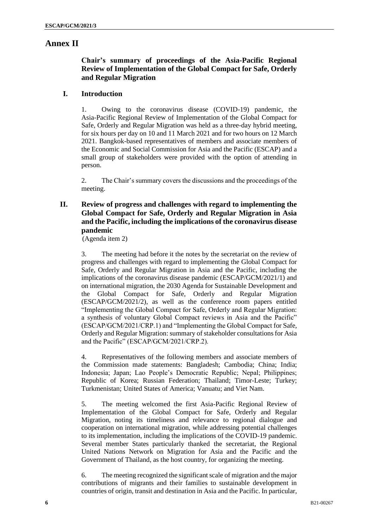# **Annex II**

# **Chair's summary of proceedings of the Asia-Pacific Regional Review of Implementation of the Global Compact for Safe, Orderly and Regular Migration**

### **I. Introduction**

1. Owing to the coronavirus disease (COVID-19) pandemic, the Asia-Pacific Regional Review of Implementation of the Global Compact for Safe, Orderly and Regular Migration was held as a three-day hybrid meeting, for six hours per day on 10 and 11 March 2021 and for two hours on 12 March 2021. Bangkok-based representatives of members and associate members of the Economic and Social Commission for Asia and the Pacific (ESCAP) and a small group of stakeholders were provided with the option of attending in person.

2. The Chair's summary covers the discussions and the proceedings of the meeting.

# **II. Review of progress and challenges with regard to implementing the Global Compact for Safe, Orderly and Regular Migration in Asia and the Pacific, including the implications of the coronavirus disease pandemic**

(Agenda item 2)

3. The meeting had before it the notes by the secretariat on the review of progress and challenges with regard to implementing the Global Compact for Safe, Orderly and Regular Migration in Asia and the Pacific, including the implications of the coronavirus disease pandemic (ESCAP/GCM/2021/1) and on international migration, the 2030 Agenda for Sustainable Development and the Global Compact for Safe, Orderly and Regular Migration (ESCAP/GCM/2021/2), as well as the conference room papers entitled "Implementing the Global Compact for Safe, Orderly and Regular Migration: a synthesis of voluntary Global Compact reviews in Asia and the Pacific" (ESCAP/GCM/2021/CRP.1) and "Implementing the Global Compact for Safe, Orderly and Regular Migration: summary of stakeholder consultations for Asia and the Pacific" (ESCAP/GCM/2021/CRP.2).

4. Representatives of the following members and associate members of the Commission made statements: Bangladesh; Cambodia; China; India; Indonesia; Japan; Lao People's Democratic Republic; Nepal; Philippines; Republic of Korea; Russian Federation; Thailand; Timor-Leste; Turkey; Turkmenistan; United States of America; Vanuatu; and Viet Nam.

5. The meeting welcomed the first Asia-Pacific Regional Review of Implementation of the Global Compact for Safe, Orderly and Regular Migration, noting its timeliness and relevance to regional dialogue and cooperation on international migration, while addressing potential challenges to its implementation, including the implications of the COVID-19 pandemic. Several member States particularly thanked the secretariat, the Regional United Nations Network on Migration for Asia and the Pacific and the Government of Thailand, as the host country, for organizing the meeting.

6. The meeting recognized the significant scale of migration and the major contributions of migrants and their families to sustainable development in countries of origin, transit and destination in Asia and the Pacific. In particular,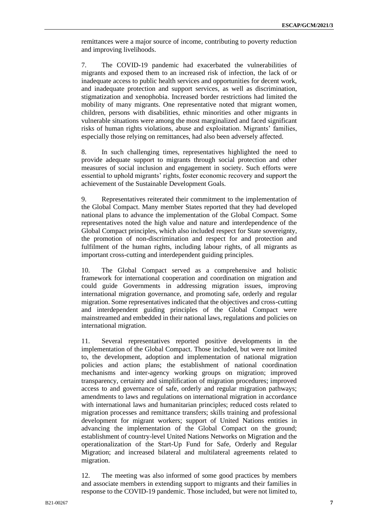remittances were a major source of income, contributing to poverty reduction and improving livelihoods.

7. The COVID-19 pandemic had exacerbated the vulnerabilities of migrants and exposed them to an increased risk of infection, the lack of or inadequate access to public health services and opportunities for decent work, and inadequate protection and support services, as well as discrimination, stigmatization and xenophobia. Increased border restrictions had limited the mobility of many migrants. One representative noted that migrant women, children, persons with disabilities, ethnic minorities and other migrants in vulnerable situations were among the most marginalized and faced significant risks of human rights violations, abuse and exploitation. Migrants' families, especially those relying on remittances, had also been adversely affected.

8. In such challenging times, representatives highlighted the need to provide adequate support to migrants through social protection and other measures of social inclusion and engagement in society. Such efforts were essential to uphold migrants' rights, foster economic recovery and support the achievement of the Sustainable Development Goals.

9. Representatives reiterated their commitment to the implementation of the Global Compact. Many member States reported that they had developed national plans to advance the implementation of the Global Compact. Some representatives noted the high value and nature and interdependence of the Global Compact principles, which also included respect for State sovereignty, the promotion of non-discrimination and respect for and protection and fulfilment of the human rights, including labour rights, of all migrants as important cross-cutting and interdependent guiding principles.

10. The Global Compact served as a comprehensive and holistic framework for international cooperation and coordination on migration and could guide Governments in addressing migration issues, improving international migration governance, and promoting safe, orderly and regular migration. Some representatives indicated that the objectives and cross-cutting and interdependent guiding principles of the Global Compact were mainstreamed and embedded in their national laws, regulations and policies on international migration.

11. Several representatives reported positive developments in the implementation of the Global Compact. Those included, but were not limited to, the development, adoption and implementation of national migration policies and action plans; the establishment of national coordination mechanisms and inter-agency working groups on migration; improved transparency, certainty and simplification of migration procedures; improved access to and governance of safe, orderly and regular migration pathways; amendments to laws and regulations on international migration in accordance with international laws and humanitarian principles; reduced costs related to migration processes and remittance transfers; skills training and professional development for migrant workers; support of United Nations entities in advancing the implementation of the Global Compact on the ground; establishment of country-level United Nations Networks on Migration and the operationalization of the Start-Up Fund for Safe, Orderly and Regular Migration; and increased bilateral and multilateral agreements related to migration.

12. The meeting was also informed of some good practices by members and associate members in extending support to migrants and their families in response to the COVID-19 pandemic. Those included, but were not limited to,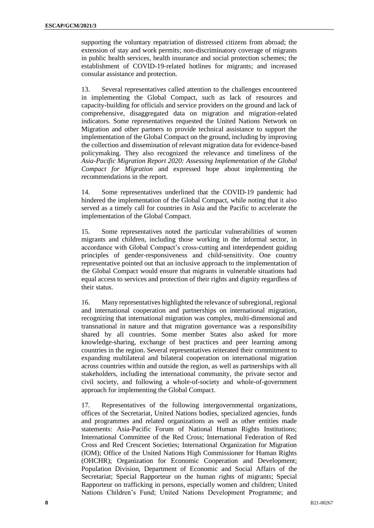supporting the voluntary repatriation of distressed citizens from abroad; the extension of stay and work permits; non-discriminatory coverage of migrants in public health services, health insurance and social protection schemes; the establishment of COVID-19-related hotlines for migrants; and increased consular assistance and protection.

13. Several representatives called attention to the challenges encountered in implementing the Global Compact, such as lack of resources and capacity-building for officials and service providers on the ground and lack of comprehensive, disaggregated data on migration and migration-related indicators. Some representatives requested the United Nations Network on Migration and other partners to provide technical assistance to support the implementation of the Global Compact on the ground, including by improving the collection and dissemination of relevant migration data for evidence-based policymaking. They also recognized the relevance and timeliness of the *Asia-Pacific Migration Report 2020: Assessing Implementation of the Global Compact for Migration* and expressed hope about implementing the recommendations in the report.

14. Some representatives underlined that the COVID-19 pandemic had hindered the implementation of the Global Compact, while noting that it also served as a timely call for countries in Asia and the Pacific to accelerate the implementation of the Global Compact.

15. Some representatives noted the particular vulnerabilities of women migrants and children, including those working in the informal sector, in accordance with Global Compact's cross-cutting and interdependent guiding principles of gender-responsiveness and child-sensitivity. One country representative pointed out that an inclusive approach to the implementation of the Global Compact would ensure that migrants in vulnerable situations had equal access to services and protection of their rights and dignity regardless of their status.

16. Many representatives highlighted the relevance of subregional, regional and international cooperation and partnerships on international migration, recognizing that international migration was complex, multi-dimensional and transnational in nature and that migration governance was a responsibility shared by all countries. Some member States also asked for more knowledge-sharing, exchange of best practices and peer learning among countries in the region. Several representatives reiterated their commitment to expanding multilateral and bilateral cooperation on international migration across countries within and outside the region, as well as partnerships with all stakeholders, including the international community, the private sector and civil society, and following a whole-of-society and whole-of-government approach for implementing the Global Compact.

17. Representatives of the following intergovernmental organizations, offices of the Secretariat, United Nations bodies, specialized agencies, funds and programmes and related organizations as well as other entities made statements: Asia-Pacific Forum of National Human Rights Institutions; International Committee of the Red Cross; International Federation of Red Cross and Red Crescent Societies; International Organization for Migration (IOM); Office of the United Nations High Commissioner for Human Rights (OHCHR); Organization for Economic Cooperation and Development; Population Division, Department of Economic and Social Affairs of the Secretariat; Special Rapporteur on the human rights of migrants; Special Rapporteur on trafficking in persons, especially women and children; United Nations Children's Fund; United Nations Development Programme; and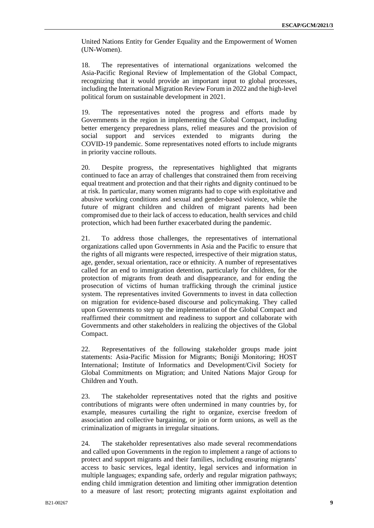United Nations Entity for Gender Equality and the Empowerment of Women (UN-Women).

18. The representatives of international organizations welcomed the Asia-Pacific Regional Review of Implementation of the Global Compact, recognizing that it would provide an important input to global processes, including the International Migration Review Forum in 2022 and the high-level political forum on sustainable development in 2021.

19. The representatives noted the progress and efforts made by Governments in the region in implementing the Global Compact, including better emergency preparedness plans, relief measures and the provision of social support and services extended to migrants during the COVID-19 pandemic. Some representatives noted efforts to include migrants in priority vaccine rollouts.

20. Despite progress, the representatives highlighted that migrants continued to face an array of challenges that constrained them from receiving equal treatment and protection and that their rights and dignity continued to be at risk. In particular, many women migrants had to cope with exploitative and abusive working conditions and sexual and gender-based violence, while the future of migrant children and children of migrant parents had been compromised due to their lack of access to education, health services and child protection, which had been further exacerbated during the pandemic.

21. To address those challenges, the representatives of international organizations called upon Governments in Asia and the Pacific to ensure that the rights of all migrants were respected, irrespective of their migration status, age, gender, sexual orientation, race or ethnicity. A number of representatives called for an end to immigration detention, particularly for children, for the protection of migrants from death and disappearance, and for ending the prosecution of victims of human trafficking through the criminal justice system. The representatives invited Governments to invest in data collection on migration for evidence-based discourse and policymaking. They called upon Governments to step up the implementation of the Global Compact and reaffirmed their commitment and readiness to support and collaborate with Governments and other stakeholders in realizing the objectives of the Global Compact.

22. Representatives of the following stakeholder groups made joint statements: Asia-Pacific Mission for Migrants; Boniĝi Monitoring; HOST International; Institute of Informatics and Development/Civil Society for Global Commitments on Migration; and United Nations Major Group for Children and Youth.

23. The stakeholder representatives noted that the rights and positive contributions of migrants were often undermined in many countries by, for example, measures curtailing the right to organize, exercise freedom of association and collective bargaining, or join or form unions, as well as the criminalization of migrants in irregular situations.

24. The stakeholder representatives also made several recommendations and called upon Governments in the region to implement a range of actions to protect and support migrants and their families, including ensuring migrants' access to basic services, legal identity, legal services and information in multiple languages; expanding safe, orderly and regular migration pathways; ending child immigration detention and limiting other immigration detention to a measure of last resort; protecting migrants against exploitation and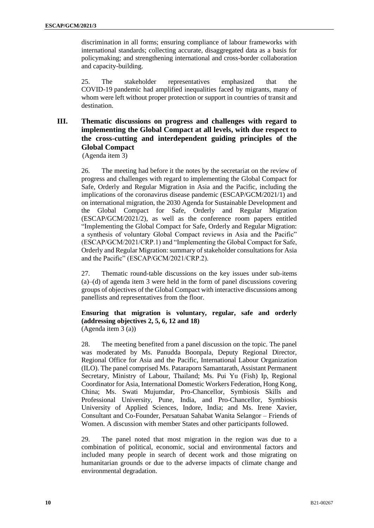discrimination in all forms; ensuring compliance of labour frameworks with international standards; collecting accurate, disaggregated data as a basis for policymaking; and strengthening international and cross-border collaboration and capacity-building.

25. The stakeholder representatives emphasized that the COVID-19 pandemic had amplified inequalities faced by migrants, many of whom were left without proper protection or support in countries of transit and destination.

# **III. Thematic discussions on progress and challenges with regard to implementing the Global Compact at all levels, with due respect to the cross-cutting and interdependent guiding principles of the Global Compact**

(Agenda item 3)

26. The meeting had before it the notes by the secretariat on the review of progress and challenges with regard to implementing the Global Compact for Safe, Orderly and Regular Migration in Asia and the Pacific, including the implications of the coronavirus disease pandemic (ESCAP/GCM/2021/1) and on international migration, the 2030 Agenda for Sustainable Development and the Global Compact for Safe, Orderly and Regular Migration (ESCAP/GCM/2021/2), as well as the conference room papers entitled "Implementing the Global Compact for Safe, Orderly and Regular Migration: a synthesis of voluntary Global Compact reviews in Asia and the Pacific" (ESCAP/GCM/2021/CRP.1) and "Implementing the Global Compact for Safe, Orderly and Regular Migration: summary of stakeholder consultations for Asia and the Pacific" (ESCAP/GCM/2021/CRP.2).

27. Thematic round-table discussions on the key issues under sub-items (a)–(d) of agenda item 3 were held in the form of panel discussions covering groups of objectives of the Global Compact with interactive discussions among panellists and representatives from the floor.

#### **Ensuring that migration is voluntary, regular, safe and orderly (addressing objectives 2, 5, 6, 12 and 18)** (Agenda item 3 (a))

28. The meeting benefited from a panel discussion on the topic. The panel was moderated by Ms. Panudda Boonpala, Deputy Regional Director, Regional Office for Asia and the Pacific, International Labour Organization (ILO). The panel comprised Ms. Pataraporn Samantarath, Assistant Permanent Secretary, Ministry of Labour, Thailand; Ms. Pui Yu (Fish) Ip, Regional Coordinator for Asia, International Domestic Workers Federation, Hong Kong, China; Ms. Swati Mujumdar, Pro-Chancellor, Symbiosis Skills and Professional University, Pune, India, and Pro-Chancellor, Symbiosis University of Applied Sciences, Indore, India; and Ms. Irene Xavier, Consultant and Co-Founder, Persatuan Sahabat Wanita Selangor – Friends of Women. A discussion with member States and other participants followed.

29. The panel noted that most migration in the region was due to a combination of political, economic, social and environmental factors and included many people in search of decent work and those migrating on humanitarian grounds or due to the adverse impacts of climate change and environmental degradation.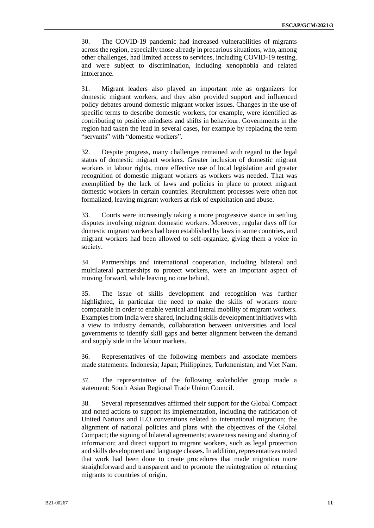30. The COVID-19 pandemic had increased vulnerabilities of migrants across the region, especially those already in precarious situations, who, among other challenges, had limited access to services, including COVID-19 testing, and were subject to discrimination, including xenophobia and related intolerance.

31. Migrant leaders also played an important role as organizers for domestic migrant workers, and they also provided support and influenced policy debates around domestic migrant worker issues. Changes in the use of specific terms to describe domestic workers, for example, were identified as contributing to positive mindsets and shifts in behaviour. Governments in the region had taken the lead in several cases, for example by replacing the term "servants" with "domestic workers".

32. Despite progress, many challenges remained with regard to the legal status of domestic migrant workers. Greater inclusion of domestic migrant workers in labour rights, more effective use of local legislation and greater recognition of domestic migrant workers as workers was needed. That was exemplified by the lack of laws and policies in place to protect migrant domestic workers in certain countries. Recruitment processes were often not formalized, leaving migrant workers at risk of exploitation and abuse.

33. Courts were increasingly taking a more progressive stance in settling disputes involving migrant domestic workers. Moreover, regular days off for domestic migrant workers had been established by laws in some countries, and migrant workers had been allowed to self-organize, giving them a voice in society.

34. Partnerships and international cooperation, including bilateral and multilateral partnerships to protect workers, were an important aspect of moving forward, while leaving no one behind.

35. The issue of skills development and recognition was further highlighted, in particular the need to make the skills of workers more comparable in order to enable vertical and lateral mobility of migrant workers. Examples from India were shared, including skills development initiatives with a view to industry demands, collaboration between universities and local governments to identify skill gaps and better alignment between the demand and supply side in the labour markets.

36. Representatives of the following members and associate members made statements: Indonesia; Japan; Philippines; Turkmenistan; and Viet Nam.

37. The representative of the following stakeholder group made a statement: South Asian Regional Trade Union Council.

38. Several representatives affirmed their support for the Global Compact and noted actions to support its implementation, including the ratification of United Nations and ILO conventions related to international migration; the alignment of national policies and plans with the objectives of the Global Compact; the signing of bilateral agreements; awareness raising and sharing of information; and direct support to migrant workers, such as legal protection and skills development and language classes. In addition, representatives noted that work had been done to create procedures that made migration more straightforward and transparent and to promote the reintegration of returning migrants to countries of origin.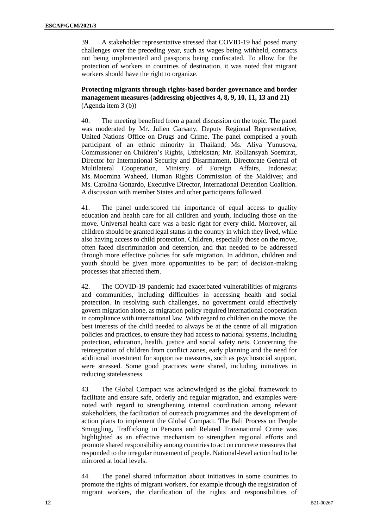39. A stakeholder representative stressed that COVID-19 had posed many challenges over the preceding year, such as wages being withheld, contracts not being implemented and passports being confiscated. To allow for the protection of workers in countries of destination, it was noted that migrant workers should have the right to organize.

**Protecting migrants through rights-based border governance and border management measures (addressing objectives 4, 8, 9, 10, 11, 13 and 21)** (Agenda item 3 (b))

40. The meeting benefited from a panel discussion on the topic. The panel was moderated by Mr. Julien Garsany, Deputy Regional Representative, United Nations Office on Drugs and Crime. The panel comprised a youth participant of an ethnic minority in Thailand; Ms. Aliya Yunusova, Commissioner on Children's Rights, Uzbekistan; Mr. Rolliansyah Soemirat, Director for International Security and Disarmament, Directorate General of Multilateral Cooperation, Ministry of Foreign Affairs, Indonesia; Ms. Moomina Waheed, Human Rights Commission of the Maldives; and Ms. Carolina Gottardo, Executive Director, International Detention Coalition. A discussion with member States and other participants followed.

41. The panel underscored the importance of equal access to quality education and health care for all children and youth, including those on the move. Universal health care was a basic right for every child. Moreover, all children should be granted legal status in the country in which they lived, while also having access to child protection. Children, especially those on the move, often faced discrimination and detention, and that needed to be addressed through more effective policies for safe migration. In addition, children and youth should be given more opportunities to be part of decision-making processes that affected them.

42. The COVID-19 pandemic had exacerbated vulnerabilities of migrants and communities, including difficulties in accessing health and social protection. In resolving such challenges, no government could effectively govern migration alone, as migration policy required international cooperation in compliance with international law. With regard to children on the move, the best interests of the child needed to always be at the centre of all migration policies and practices, to ensure they had access to national systems, including protection, education, health, justice and social safety nets. Concerning the reintegration of children from conflict zones, early planning and the need for additional investment for supportive measures, such as psychosocial support, were stressed. Some good practices were shared, including initiatives in reducing statelessness.

43. The Global Compact was acknowledged as the global framework to facilitate and ensure safe, orderly and regular migration, and examples were noted with regard to strengthening internal coordination among relevant stakeholders, the facilitation of outreach programmes and the development of action plans to implement the Global Compact. The Bali Process on People Smuggling, Trafficking in Persons and Related Transnational Crime was highlighted as an effective mechanism to strengthen regional efforts and promote shared responsibility among countries to act on concrete measures that responded to the irregular movement of people. National-level action had to be mirrored at local levels.

44. The panel shared information about initiatives in some countries to promote the rights of migrant workers, for example through the registration of migrant workers, the clarification of the rights and responsibilities of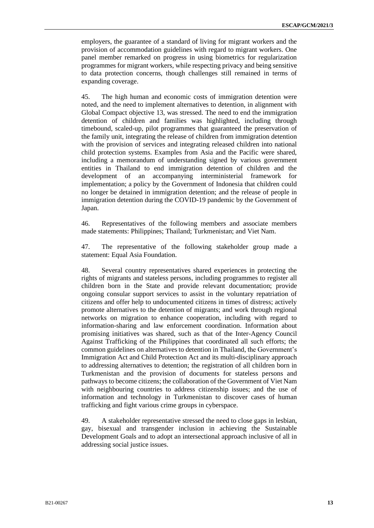employers, the guarantee of a standard of living for migrant workers and the provision of accommodation guidelines with regard to migrant workers. One panel member remarked on progress in using biometrics for regularization programmes for migrant workers, while respecting privacy and being sensitive to data protection concerns, though challenges still remained in terms of expanding coverage.

45. The high human and economic costs of immigration detention were noted, and the need to implement alternatives to detention, in alignment with Global Compact objective 13, was stressed. The need to end the immigration detention of children and families was highlighted, including through timebound, scaled-up, pilot programmes that guaranteed the preservation of the family unit, integrating the release of children from immigration detention with the provision of services and integrating released children into national child protection systems. Examples from Asia and the Pacific were shared, including a memorandum of understanding signed by various government entities in Thailand to end immigration detention of children and the development of an accompanying interministerial framework for implementation; a policy by the Government of Indonesia that children could no longer be detained in immigration detention; and the release of people in immigration detention during the COVID-19 pandemic by the Government of Japan.

46. Representatives of the following members and associate members made statements: Philippines; Thailand; Turkmenistan; and Viet Nam.

47. The representative of the following stakeholder group made a statement: Equal Asia Foundation.

48. Several country representatives shared experiences in protecting the rights of migrants and stateless persons, including programmes to register all children born in the State and provide relevant documentation; provide ongoing consular support services to assist in the voluntary repatriation of citizens and offer help to undocumented citizens in times of distress; actively promote alternatives to the detention of migrants; and work through regional networks on migration to enhance cooperation, including with regard to information-sharing and law enforcement coordination. Information about promising initiatives was shared, such as that of the Inter-Agency Council Against Trafficking of the Philippines that coordinated all such efforts; the common guidelines on alternatives to detention in Thailand, the Government's Immigration Act and Child Protection Act and its multi-disciplinary approach to addressing alternatives to detention; the registration of all children born in Turkmenistan and the provision of documents for stateless persons and pathways to become citizens; the collaboration of the Government of Viet Nam with neighbouring countries to address citizenship issues; and the use of information and technology in Turkmenistan to discover cases of human trafficking and fight various crime groups in cyberspace.

49. A stakeholder representative stressed the need to close gaps in lesbian, gay, bisexual and transgender inclusion in achieving the Sustainable Development Goals and to adopt an intersectional approach inclusive of all in addressing social justice issues.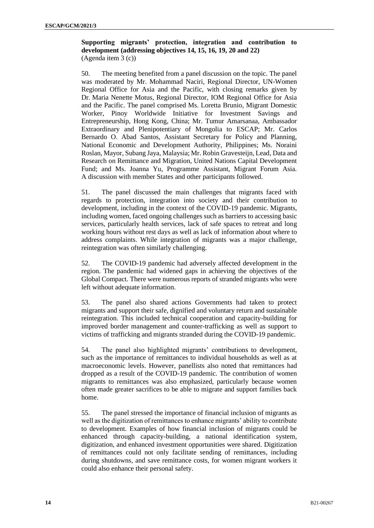**Supporting migrants' protection, integration and contribution to development (addressing objectives 14, 15, 16, 19, 20 and 22)** (Agenda item 3 (c))

50. The meeting benefited from a panel discussion on the topic. The panel was moderated by Mr. Mohammad Naciri, Regional Director, UN-Women Regional Office for Asia and the Pacific, with closing remarks given by Dr. Maria Nenette Motus, Regional Director, IOM Regional Office for Asia and the Pacific. The panel comprised Ms. Loretta Brunio, Migrant Domestic Worker, Pinoy Worldwide Initiative for Investment Savings and Entrepreneurship, Hong Kong, China; Mr. Tumur Amarsanaa, Ambassador Extraordinary and Plenipotentiary of Mongolia to ESCAP; Mr. Carlos Bernardo O. Abad Santos, Assistant Secretary for Policy and Planning, National Economic and Development Authority, Philippines; Ms. Noraini Roslan, Mayor, Subang Jaya, Malaysia; Mr. Robin Gravesteijn, Lead, Data and Research on Remittance and Migration, United Nations Capital Development Fund; and Ms. Joanna Yu, Programme Assistant, Migrant Forum Asia. A discussion with member States and other participants followed.

51. The panel discussed the main challenges that migrants faced with regards to protection, integration into society and their contribution to development, including in the context of the COVID-19 pandemic. Migrants, including women, faced ongoing challenges such as barriers to accessing basic services, particularly health services, lack of safe spaces to retreat and long working hours without rest days as well as lack of information about where to address complaints. While integration of migrants was a major challenge, reintegration was often similarly challenging.

52. The COVID-19 pandemic had adversely affected development in the region. The pandemic had widened gaps in achieving the objectives of the Global Compact. There were numerous reports of stranded migrants who were left without adequate information.

53. The panel also shared actions Governments had taken to protect migrants and support their safe, dignified and voluntary return and sustainable reintegration. This included technical cooperation and capacity-building for improved border management and counter-trafficking as well as support to victims of trafficking and migrants stranded during the COVID-19 pandemic.

54. The panel also highlighted migrants' contributions to development, such as the importance of remittances to individual households as well as at macroeconomic levels. However, panellists also noted that remittances had dropped as a result of the COVID-19 pandemic. The contribution of women migrants to remittances was also emphasized, particularly because women often made greater sacrifices to be able to migrate and support families back home.

55. The panel stressed the importance of financial inclusion of migrants as well as the digitization of remittances to enhance migrants' ability to contribute to development. Examples of how financial inclusion of migrants could be enhanced through capacity-building, a national identification system, digitization, and enhanced investment opportunities were shared. Digitization of remittances could not only facilitate sending of remittances, including during shutdowns, and save remittance costs, for women migrant workers it could also enhance their personal safety.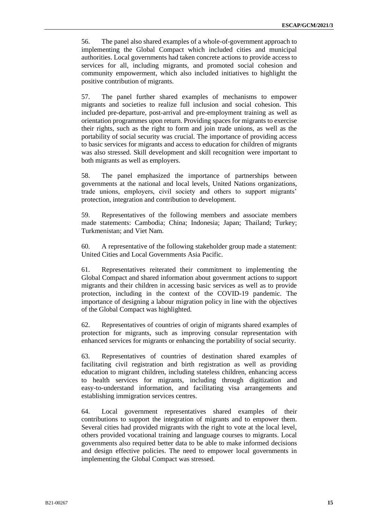56. The panel also shared examples of a whole-of-government approach to implementing the Global Compact which included cities and municipal authorities. Local governments had taken concrete actions to provide access to services for all, including migrants, and promoted social cohesion and community empowerment, which also included initiatives to highlight the positive contribution of migrants.

57. The panel further shared examples of mechanisms to empower migrants and societies to realize full inclusion and social cohesion. This included pre-departure, post-arrival and pre-employment training as well as orientation programmes upon return. Providing spaces for migrants to exercise their rights, such as the right to form and join trade unions, as well as the portability of social security was crucial. The importance of providing access to basic services for migrants and access to education for children of migrants was also stressed. Skill development and skill recognition were important to both migrants as well as employers.

58. The panel emphasized the importance of partnerships between governments at the national and local levels, United Nations organizations, trade unions, employers, civil society and others to support migrants' protection, integration and contribution to development.

59. Representatives of the following members and associate members made statements: Cambodia; China; Indonesia; Japan; Thailand; Turkey; Turkmenistan; and Viet Nam.

60. A representative of the following stakeholder group made a statement: United Cities and Local Governments Asia Pacific.

61. Representatives reiterated their commitment to implementing the Global Compact and shared information about government actions to support migrants and their children in accessing basic services as well as to provide protection, including in the context of the COVID-19 pandemic. The importance of designing a labour migration policy in line with the objectives of the Global Compact was highlighted.

62. Representatives of countries of origin of migrants shared examples of protection for migrants, such as improving consular representation with enhanced services for migrants or enhancing the portability of social security.

63. Representatives of countries of destination shared examples of facilitating civil registration and birth registration as well as providing education to migrant children, including stateless children, enhancing access to health services for migrants, including through digitization and easy-to-understand information, and facilitating visa arrangements and establishing immigration services centres.

64. Local government representatives shared examples of their contributions to support the integration of migrants and to empower them. Several cities had provided migrants with the right to vote at the local level, others provided vocational training and language courses to migrants. Local governments also required better data to be able to make informed decisions and design effective policies. The need to empower local governments in implementing the Global Compact was stressed.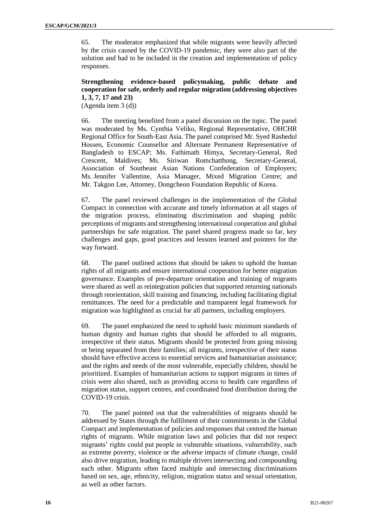65. The moderator emphasized that while migrants were heavily affected by the crisis caused by the COVID-19 pandemic, they were also part of the solution and had to be included in the creation and implementation of policy responses.

### **Strengthening evidence-based policymaking, public debate and cooperation for safe, orderly and regular migration (addressing objectives 1, 3, 7, 17 and 23)**

(Agenda item 3 (d))

66. The meeting benefited from a panel discussion on the topic. The panel was moderated by Ms. Cynthia Veliko, Regional Representative, OHCHR Regional Office for South-East Asia. The panel comprised Mr. Syed Rashedul Hossen, Economic Counsellor and Alternate Permanent Representative of Bangladesh to ESCAP; Ms. Fathimath Himya, Secretary-General, Red Crescent, Maldives; Ms. Siriwan Romchatthong, Secretary-General, Association of Southeast Asian Nations Confederation of Employers; Ms. Jennifer Vallentine, Asia Manager, Mixed Migration Centre; and Mr. Takgon Lee, Attorney, Dongcheon Foundation Republic of Korea.

67. The panel reviewed challenges in the implementation of the Global Compact in connection with accurate and timely information at all stages of the migration process, eliminating discrimination and shaping public perceptions of migrants and strengthening international cooperation and global partnerships for safe migration. The panel shared progress made so far, key challenges and gaps, good practices and lessons learned and pointers for the way forward.

68. The panel outlined actions that should be taken to uphold the human rights of all migrants and ensure international cooperation for better migration governance. Examples of pre-departure orientation and training of migrants were shared as well as reintegration policies that supported returning nationals through reorientation, skill training and financing, including facilitating digital remittances. The need for a predictable and transparent legal framework for migration was highlighted as crucial for all partners, including employers.

69. The panel emphasized the need to uphold basic minimum standards of human dignity and human rights that should be afforded to all migrants, irrespective of their status. Migrants should be protected from going missing or being separated from their families; all migrants, irrespective of their status should have effective access to essential services and humanitarian assistance; and the rights and needs of the most vulnerable, especially children, should be prioritized. Examples of humanitarian actions to support migrants in times of crisis were also shared, such as providing access to health care regardless of migration status, support centres, and coordinated food distribution during the COVID-19 crisis.

70. The panel pointed out that the vulnerabilities of migrants should be addressed by States through the fulfilment of their commitments in the Global Compact and implementation of policies and responses that centred the human rights of migrants. While migration laws and policies that did not respect migrants' rights could put people in vulnerable situations, vulnerability, such as extreme poverty, violence or the adverse impacts of climate change, could also drive migration, leading to multiple drivers intersecting and compounding each other. Migrants often faced multiple and intersecting discriminations based on sex, age, ethnicity, religion, migration status and sexual orientation, as well as other factors.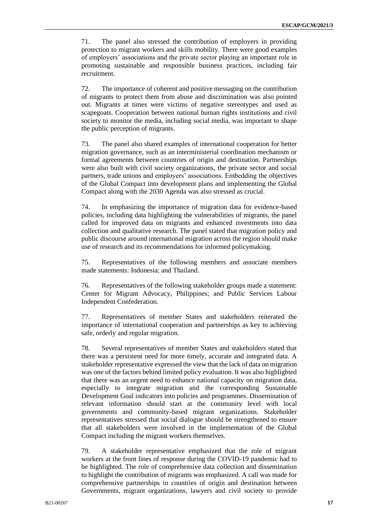71. The panel also stressed the contribution of employers in providing protection to migrant workers and skills mobility. There were good examples of employers' associations and the private sector playing an important role in promoting sustainable and responsible business practices, including fair recruitment.

72. The importance of coherent and positive messaging on the contribution of migrants to protect them from abuse and discrimination was also pointed out. Migrants at times were victims of negative stereotypes and used as scapegoats. Cooperation between national human rights institutions and civil society to monitor the media, including social media, was important to shape the public perception of migrants.

73. The panel also shared examples of international cooperation for better migration governance, such as an interministerial coordination mechanism or formal agreements between countries of origin and destination. Partnerships were also built with civil society organizations, the private sector and social partners, trade unions and employers' associations. Embedding the objectives of the Global Compact into development plans and implementing the Global Compact along with the 2030 Agenda was also stressed as crucial.

74. In emphasizing the importance of migration data for evidence-based policies, including data highlighting the vulnerabilities of migrants, the panel called for improved data on migrants and enhanced investments into data collection and qualitative research. The panel stated that migration policy and public discourse around international migration across the region should make use of research and its recommendations for informed policymaking.

75. Representatives of the following members and associate members made statements: Indonesia; and Thailand.

76. Representatives of the following stakeholder groups made a statement: Center for Migrant Advocacy, Philippines; and Public Services Labour Independent Confederation.

77. Representatives of member States and stakeholders reiterated the importance of international cooperation and partnerships as key to achieving safe, orderly and regular migration.

78. Several representatives of member States and stakeholders stated that there was a persistent need for more timely, accurate and integrated data. A stakeholder representative expressed the view that the lack of data on migration was one of the factors behind limited policy evaluation. It was also highlighted that there was an urgent need to enhance national capacity on migration data, especially to integrate migration and the corresponding Sustainable Development Goal indicators into policies and programmes. Dissemination of relevant information should start at the community level with local governments and community-based migrant organizations. Stakeholder representatives stressed that social dialogue should be strengthened to ensure that all stakeholders were involved in the implementation of the Global Compact including the migrant workers themselves.

79. A stakeholder representative emphasized that the role of migrant workers at the front lines of response during the COVID-19 pandemic had to be highlighted. The role of comprehensive data collection and dissemination to highlight the contribution of migrants was emphasized. A call was made for comprehensive partnerships in countries of origin and destination between Governments, migrant organizations, lawyers and civil society to provide